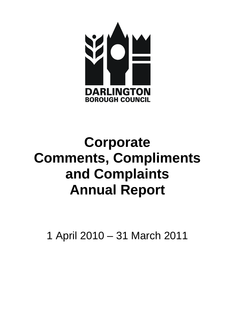

# **Corporate Comments, Compliments and Complaints Annual Report**

1 April 2010 – 31 March 2011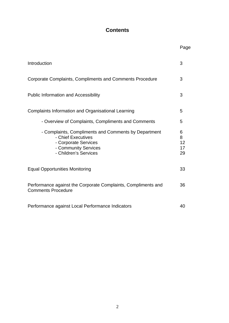# **Contents**

|                                                                                                                                                     | Page                     |
|-----------------------------------------------------------------------------------------------------------------------------------------------------|--------------------------|
| Introduction                                                                                                                                        | 3                        |
| Corporate Complaints, Compliments and Comments Procedure                                                                                            | 3                        |
| <b>Public Information and Accessibility</b>                                                                                                         | 3                        |
| Complaints Information and Organisational Learning                                                                                                  | 5                        |
| - Overview of Complaints, Compliments and Comments                                                                                                  | 5                        |
| - Complaints, Compliments and Comments by Department<br>- Chief Executives<br>- Corporate Services<br>- Community Services<br>- Children's Services | 6<br>8<br>12<br>17<br>29 |
| <b>Equal Opportunities Monitoring</b>                                                                                                               | 33                       |
| Performance against the Corporate Complaints, Compliments and<br><b>Comments Procedure</b>                                                          | 36                       |
| Performance against Local Performance Indicators                                                                                                    | 40                       |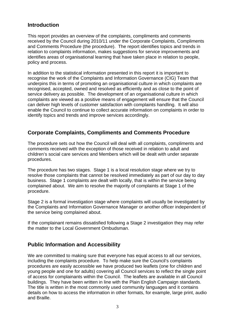# **Introduction**

This report provides an overview of the complaints, compliments and comments received by the Council during 2010/11 under the Corporate Complaints, Compliments and Comments Procedure (the procedure). The report identifies topics and trends in relation to complaints information, makes suggestions for service improvements and identifies areas of organisational learning that have taken place in relation to people, policy and process.

In addition to the statistical information presented in this report it is important to recognise the work of the Complaints and Information Governance (CIG) Team that underpins this in terms of promoting an organisational culture in which complaints are recognised, accepted, owned and resolved as efficiently and as close to the point of service delivery as possible. The development of an organisational culture in which complaints are viewed as a positive means of engagement will ensure that the Council can deliver high levels of customer satisfaction with complaints handling. It will also enable the Council to continue to collect accurate information on complaints in order to identify topics and trends and improve services accordingly.

# **Corporate Complaints, Compliments and Comments Procedure**

The procedure sets out how the Council will deal with all complaints, compliments and comments received with the exception of those received in relation to adult and children's social care services and Members which will be dealt with under separate procedures.

The procedure has two stages. Stage 1 is a local resolution stage where we try to resolve those complaints that cannot be resolved immediately as part of our day to day business. Stage 1 complaints are dealt with locally, that is within the service being complained about. We aim to resolve the majority of complaints at Stage 1 of the procedure.

Stage 2 is a formal investigation stage where complaints will usually be investigated by the Complaints and Information Governance Manager or another officer independent of the service being complained about.

If the complainant remains dissatisfied following a Stage 2 investigation they may refer the matter to the Local Government Ombudsman.

# **Public Information and Accessibility**

We are committed to making sure that everyone has equal access to all our services, including the complaints procedure. To help make sure the Council's complaints procedures are easily accessible we have produced two leaflets (one for children and young people and one for adults) covering all Council services to reflect the single point of access for complainants within the Council. The leaflets are available in all Council buildings. They have been written in line with the Plain English Campaign standards. The title is written in the most commonly used community languages and it contains details on how to access the information in other formats, for example, large print, audio and Braille.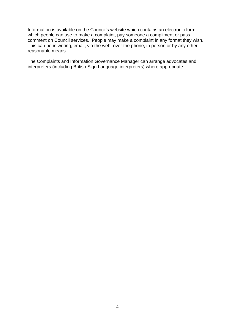Information is available on the Council's website which contains an electronic form which people can use to make a complaint, pay someone a compliment or pass comment on Council services. People may make a complaint in any format they wish. This can be in writing, email, via the web, over the phone, in person or by any other reasonable means.

The Complaints and Information Governance Manager can arrange advocates and interpreters (including British Sign Language interpreters) where appropriate.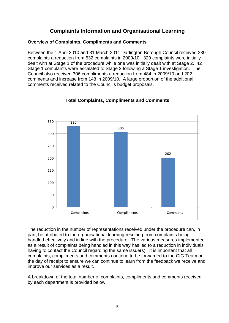# **Complaints Information and Organisational Learning**

#### **Overview of Complaints, Compliments and Comments**

Between the 1 April 2010 and 31 March 2011 Darlington Borough Council received 330 complaints a reduction from 532 complaints in 2009/10. 329 complaints were initially dealt with at Stage 1 of the procedure while one was initially dealt with at Stage 2. 42 Stage 1 complaints were escalated to Stage 2 following a Stage 1 investigation. The Council also received 306 compliments a reduction from 484 in 2009/10 and 202 comments and increase from 148 in 2009/10. A large proportion of the additional comments received related to the Council's budget proposals.



## **Total Complaints, Compliments and Comments**

The reduction in the number of representations received under the procedure can, in part, be attributed to the organisational learning resulting from complaints being handled effectively and in line with the procedure. The various measures implemented as a result of complaints being handled in this way has led to a reduction in individuals having to contact the Council regarding the same issue(s). It is important that all complaints, compliments and comments continue to be forwarded to the CIG Team on the day of receipt to ensure we can continue to learn from the feedback we receive and improve our services as a result.

A breakdown of the total number of complaints, compliments and comments received by each department is provided below.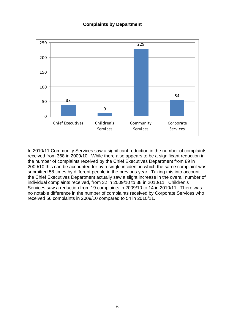#### **Complaints by Department**



In 2010/11 Community Services saw a significant reduction in the number of complaints received from 368 in 2009/10. While there also appears to be a significant reduction in the number of complaints received by the Chief Executives Department from 89 in 2009/10 this can be accounted for by a single incident in which the same complaint was submitted 58 times by different people in the previous year. Taking this into account the Chief Executives Department actually saw a slight increase in the overall number of individual complaints received, from 32 in 2009/10 to 38 in 2010/11. Children's Services saw a reduction from 19 complaints in 2009/10 to 14 in 2010/11. There was no notable difference in the number of complaints received by Corporate Services who received 56 complaints in 2009/10 compared to 54 in 2010/11.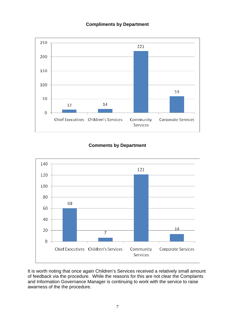#### **Compliments by Department**



## **Comments by Department**



It is worth noting that once again Children's Services received a relatively small amount of feedback via the procedure. While the reasons for this are not clear the Complaints and Information Governance Manager is continuing to work with the service to raise awarness of the the procedure.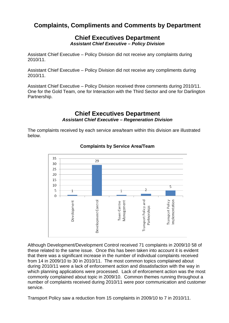# **Complaints, Compliments and Comments by Department**

## **Chief Executives Department**  *Assistant Chief Executive – Policy Division*

Assistant Chief Executive – Policy Division did not receive any complaints during 2010/11.

Assistant Chief Executive – Policy Division did not receive any compliments during 2010/11.

Assistant Chief Executive – Policy Division received three comments during 2010/11. One for the Gold Team, one for Interaction with the Third Sector and one for Darlington Partnership.

# **Chief Executives Department**  *Assistant Chief Executive – Regeneration Division*

The complaints received by each service area/team within this division are illustrated below.



#### **Complaints by Service Area/Team**

Although Development/Development Control received 71 complaints in 2009/10 58 of these related to the same issue. Once this has been taken into account it is evident that there was a significant increase in the number of individual complaints received from 14 in 2009/10 to 30 in 2010/11. The most common topics complained about during 2010/11 were a lack of enforcement action and dissatisfaction with the way in which planning applications were processed. Lack of enforcement action was the most commonly complained about topic in 2009/10. Common themes running throughout a number of complaints received during 2010/11 were poor communication and customer service.

Transport Policy saw a reduction from 15 complaints in 2009/10 to 7 in 2010/11.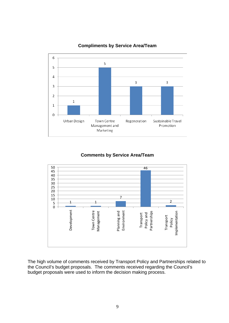

**Compliments by Service Area/Team** 

#### **Comments by Service Area/Team**



The high volume of comments received by Transport Policy and Partnerships related to the Council's budget proposals. The comments received regarding the Council's budget proposals were used to inform the decision making process.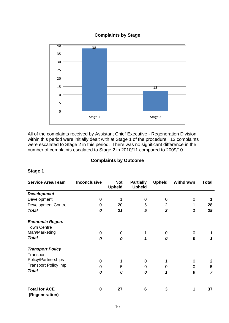#### **Complaints by Stage**



All of the complaints received by Assistant Chief Executive - Regeneration Division within this period were initially dealt with at Stage 1 of the procedure. 12 complaints were escalated to Stage 2 in this period. There was no significant difference in the number of complaints escalated to Stage 2 in 2010/11 compared to 2009/10.

#### **Complaints by Outcome**

| <b>Service Area/Team</b>    | <b>Inconclusive</b> | <b>Not</b><br><b>Upheld</b> | <b>Partially</b><br><b>Upheld</b> | <b>Upheld</b>  | Withdrawn | <b>Total</b>     |
|-----------------------------|---------------------|-----------------------------|-----------------------------------|----------------|-----------|------------------|
| <b>Development</b>          |                     |                             |                                   |                |           |                  |
| Development                 | 0                   | 1                           | 0                                 | 0              | 0         |                  |
| <b>Development Control</b>  | 0                   | 20                          | 5                                 | $\overline{2}$ | 1         | 28               |
| <b>Total</b>                | 0                   | 21                          | 5                                 | $\overline{2}$ | 1         | 29               |
| <b>Economic Regen.</b>      |                     |                             |                                   |                |           |                  |
| <b>Town Centre</b>          |                     |                             |                                   |                |           |                  |
| Man/Marketing               | 0                   | 0                           | 1                                 | 0              | 0         |                  |
| <b>Total</b>                | 0                   | 0                           | 1                                 | 0              | 0         |                  |
| <b>Transport Policy</b>     |                     |                             |                                   |                |           |                  |
| Transport                   |                     |                             |                                   |                |           |                  |
| Policy/Partnerships         | $\Omega$            | 1                           | $\mathbf 0$                       |                | 0         | $\boldsymbol{2}$ |
| <b>Transport Policy Imp</b> | 0                   | 5                           | 0                                 | 0              | 0         | 5                |
| <b>Total</b>                | 0                   | 6                           | 0                                 | 1              | 0         | 7                |
| <b>Total for ACE</b>        | $\bf{0}$            | 27                          | 6                                 | 3              | 1         | 37               |
| (Regeneration)              |                     |                             |                                   |                |           |                  |

#### **Stage 1**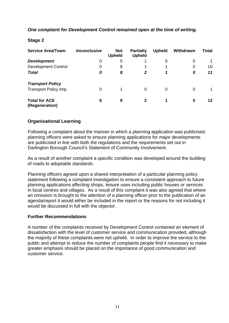#### *One complaint for Development Control remained open at the time of writing.*

#### **Stage 2**

| <b>Service Area/Team</b>               | <b>Inconclusive</b> | <b>Not</b><br><b>Upheld</b> | <b>Partially</b><br><b>Upheld</b> | <b>Upheld</b> | Withdrawn | Total   |
|----------------------------------------|---------------------|-----------------------------|-----------------------------------|---------------|-----------|---------|
| <b>Development</b>                     | 0                   | 0                           |                                   | 0             | 0         |         |
| <b>Development Control</b>             | $\Omega$            | 8                           |                                   | 1             | 0         | 10      |
| <b>Total</b>                           | 0                   | 8                           | $\overline{2}$                    | 1             | 0         | 11      |
| <b>Transport Policy</b>                |                     |                             |                                   |               |           |         |
| Transport Policy Imp.                  | 0                   |                             | 0                                 | 0             | $\Omega$  |         |
| <b>Total for ACE</b><br>(Regeneration) | 0                   | 9                           | $\mathbf{2}$                      | 1             | $\bf{0}$  | $12 \,$ |

#### **Organisational Learning**

Following a complaint about the manner in which a planning application was publicised, planning officers were asked to ensure planning applications for major developments are publicised in line with both the regulations and the requirements set out in Darlington Borough Council's Statement of Community Involvement.

As a result of another complaint a specific condition was developed around the building of roads to adoptable standards.

Planning officers agreed upon a shared interpretation of a particular planning policy statement following a complaint investigation to ensure a consistent approach to future planning applications affecting shops, leisure uses including public houses or services in local centres and villages. As a result of this complaint it was also agreed that where an omission is brought to the attention of a planning officer prior to the publication of an agenda/report it would either be included in the report or the reasons for not including it would be discussed in full with the objector.

#### **Further Recommendations**

A number of the complaints received by Development Control contained an element of dissatisfaction with the level of customer service and communication provided, although the majority of these complaints were not upheld. In order to improve the service to the public and attempt to reduce the number of complaints people find it necessary to make greater emphasis should be placed on the importance of good communication and customer service.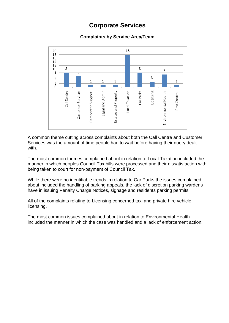# **Corporate Services**

# **Complaints by Service Area/Team**



A common theme cutting across complaints about both the Call Centre and Customer Services was the amount of time people had to wait before having their query dealt with.

The most common themes complained about in relation to Local Taxation included the manner in which peoples Council Tax bills were processed and their dissatisfaction with being taken to court for non-payment of Council Tax.

While there were no identifiable trends in relation to Car Parks the issues complained about included the handling of parking appeals, the lack of discretion parking wardens have in issuing Penalty Charge Notices, signage and residents parking permits.

All of the complaints relating to Licensing concerned taxi and private hire vehicle licensing.

The most common issues complained about in relation to Environmental Health included the manner in which the case was handled and a lack of enforcement action.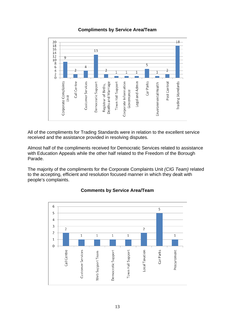

#### **Compliments by Service Area/Team**

All of the compliments for Trading Standards were in relation to the excellent service received and the assistance provided in resolving disputes.

Almost half of the compliments received for Democratic Services related to assistance with Education Appeals while the other half related to the Freedom of the Borough Parade.

The majority of the compliments for the Corporate Complaints Unit *(CIG Team)* related to the accepting, efficient and resolution focused manner in which they dealt with people's complaints.



# **Comments by Service Area/Team**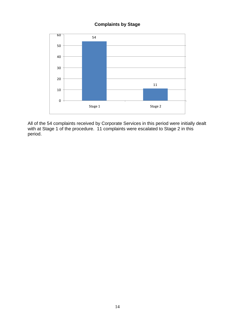# **Complaints by Stage**



All of the 54 complaints received by Corporate Services in this period were initially dealt with at Stage 1 of the procedure. 11 complaints were escalated to Stage 2 in this period.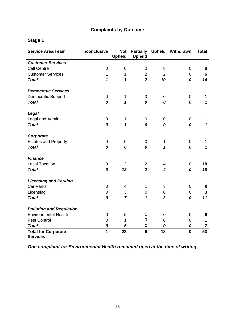# **Complaints by Outcome**

# **Stage 1**

| <b>Service Area/Team</b>                      | <b>Inconclusive</b> | <b>Not</b><br><b>Upheld</b> | <b>Upheld</b>  |                         | Partially Upheld Withdrawn | <b>Total</b>   |
|-----------------------------------------------|---------------------|-----------------------------|----------------|-------------------------|----------------------------|----------------|
| <b>Customer Services</b>                      |                     |                             |                |                         |                            |                |
| <b>Call Centre</b>                            | 0                   | $\mathbf 0$                 | 0              | 8                       | $\mathbf 0$                | 8              |
| <b>Customer Services</b>                      | 1                   | $\mathbf{1}$                | $\overline{2}$ | $\overline{2}$          | $\mathbf 0$                | 6              |
| <b>Total</b>                                  | $\mathbf{1}$        | $\mathbf{1}$                | $\overline{2}$ | 10                      | 0                          | 14             |
| <b>Democratic Services</b>                    |                     |                             |                |                         |                            |                |
| <b>Democratic Support</b>                     | $\pmb{0}$           | 1                           | 0              | 0                       | 0                          | 1              |
| <b>Total</b>                                  | 0                   | 1                           | 0              | 0                       | 0                          | $\mathbf{1}$   |
| Legal                                         |                     |                             |                |                         |                            |                |
| Legal and Admin                               | 0                   | $\mathbf 1$                 | $\mathbf 0$    | 0                       | 0                          | 1              |
| <b>Total</b>                                  | 0                   | $\mathbf{1}$                | 0              | 0                       | 0                          | $\mathbf{1}$   |
| Corporate                                     |                     |                             |                |                         |                            |                |
| <b>Estates and Property</b>                   | $\boldsymbol{0}$    | $\mathbf 0$                 | 0              | $\mathbf 1$             | $\mathbf 0$                | 1              |
| <b>Total</b>                                  | 0                   | 0                           | 0              | $\mathbf{1}$            | 0                          | $\mathbf{1}$   |
| <b>Finance</b>                                |                     |                             |                |                         |                            |                |
| <b>Local Taxation</b>                         | $\pmb{0}$           | 12                          | $\overline{2}$ | 4                       | 0                          | 18             |
| <b>Total</b>                                  | 0                   | 12                          | $\overline{2}$ | $\overline{\mathbf{4}}$ | 0                          | 18             |
| <b>Licensing and Parking</b>                  |                     |                             |                |                         |                            |                |
| <b>Car Parks</b>                              | 0                   | $\overline{4}$              | $\mathbf{1}$   | 3                       | 0                          | 8              |
| Licensing                                     | $\mathbf 0$         | 3                           | $\mathbf 0$    | 0                       | $\mathbf 0$                | $\mathbf{3}$   |
| <b>Total</b>                                  | 0                   | $\overline{7}$              | 1              | $\overline{\mathbf{3}}$ | 0                          | 11             |
| <b>Pollution and Regulation</b>               |                     |                             |                |                         |                            |                |
| <b>Environmental Health</b>                   | $\mathbf 0$         | 5                           | 1              | 0                       | 0                          | 6              |
| Pest Control                                  | $\overline{0}$      | $\mathbf{1}$                | $\mathbf 0$    | $\mathsf 0$             | $\pmb{0}$                  | $\mathbf{1}$   |
| <b>Total</b>                                  | 0                   | 6                           | $\mathbf 1$    | 0                       | 0                          | $\overline{7}$ |
| <b>Total for Corporate</b><br><b>Services</b> | $\overline{1}$      | 28                          | $6\phantom{1}$ | 18                      | $\mathbf 0$                | 53             |

*One complaint for Environmental Health remained open at the time of writing.*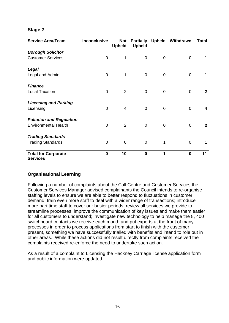#### **Stage 2**

| <b>Service Area/Team</b>                      | <b>Inconclusive</b> | <b>Not</b><br><b>Upheld</b> | <b>Partially</b><br><b>Upheld</b> |             | <b>Upheld Withdrawn</b> | <b>Total</b> |
|-----------------------------------------------|---------------------|-----------------------------|-----------------------------------|-------------|-------------------------|--------------|
| <b>Borough Solicitor</b>                      |                     |                             |                                   |             |                         |              |
| <b>Customer Services</b>                      | 0                   | 1                           | $\mathbf 0$                       | 0           | $\overline{0}$          | 1            |
| Legal                                         |                     |                             |                                   |             |                         |              |
| Legal and Admin                               | 0                   | 1                           | $\mathbf 0$                       | 0           | $\overline{0}$          | 1            |
| <b>Finance</b>                                |                     |                             |                                   |             |                         |              |
| <b>Local Taxation</b>                         | $\overline{0}$      | 2                           | $\mathbf 0$                       | 0           | $\overline{0}$          | $\mathbf{2}$ |
| <b>Licensing and Parking</b>                  |                     |                             |                                   |             |                         |              |
| Licensing                                     | $\overline{0}$      | $\overline{4}$              | $\mathbf 0$                       | 0           | $\overline{0}$          | 4            |
| <b>Pollution and Regulation</b>               |                     |                             |                                   |             |                         |              |
| <b>Environmental Health</b>                   | 0                   | $\overline{2}$              | $\mathbf 0$                       | $\mathbf 0$ | $\overline{0}$          | $\mathbf{2}$ |
| <b>Trading Standards</b>                      |                     |                             |                                   |             |                         |              |
| <b>Trading Standards</b>                      | $\mathbf 0$         | $\mathbf 0$                 | $\mathbf 0$                       | 1           | $\overline{0}$          | 1            |
| <b>Total for Corporate</b><br><b>Services</b> | $\bf{0}$            | 10                          | $\mathbf 0$                       | 1           | $\mathbf 0$             | 11           |

#### **Organisational Learning**

Following a number of complaints about the Call Centre and Customer Services the Customer Services Manager advised complainants the Council intends to re-organise staffing levels to ensure we are able to better respond to fluctuations in customer demand; train even more staff to deal with a wider range of transactions; introduce more part time staff to cover our busier periods; review all services we provide to streamline processes; improve the communication of key issues and make them easier for all customers to understand; investigate new technology to help manage the 8, 400 switchboard contacts we receive each month and put experts at the front of many processes in order to process applications from start to finish with the customer present, something we have successfully trialled with benefits and intend to role out in other areas. While these actions did not result directly from complaints received the complaints received re-enforce the need to undertake such action.

As a result of a complaint to Licensing the Hackney Carriage license application form and public information were updated.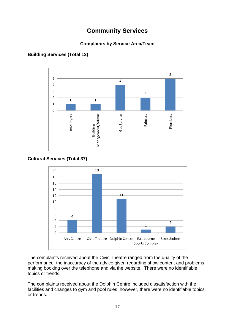# **Community Services**

# **Complaints by Service Area/Team**



# **Building Services (Total 13)**

## **Cultural Services (Total 37)**



The complaints received about the Civic Theatre ranged from the quality of the performance, the inaccuracy of the advice given regarding show content and problems making booking over the telephone and via the website. There were no identifiable topics or trends.

The complaints received about the Dolphin Centre included dissatisfaction with the facilities and changes to gym and pool rules, however, there were no identifiable topics or trends.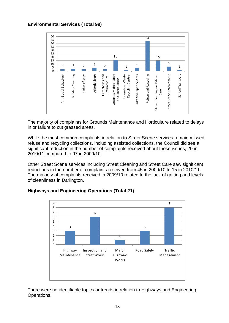#### **Environmental Services (Total 99)**



The majority of complaints for Grounds Maintenance and Horticulture related to delays in or failure to cut grassed areas.

While the most common complaints in relation to Street Scene services remain missed refuse and recycling collections, including assisted collections, the Council did see a significant reduction in the number of complaints received about these issues, 20 in 2010/11 compared to 97 in 2009/10.

Other Street Scene services including Street Cleaning and Street Care saw significant reductions in the number of complaints received from 45 in 2009/10 to 15 in 2010/11. The majority of complaints received in 2009/10 related to the lack of gritting and levels of cleanliness in Darlington.



#### **Highways and Engineering Operations (Total 21)**

There were no identifiable topics or trends in relation to Highways and Engineering Operations.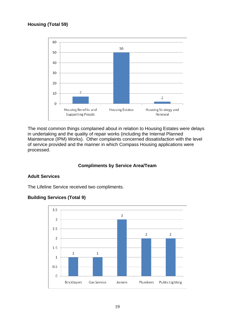# **Housing (Total 59)**



The most common things complained about in relation to Housing Estates were delays in undertaking and the quality of repair works (including the Internal Planned Maintenance (IPM) Works). Other complaints concerned dissatisfaction with the level of service provided and the manner in which Compass Housing applications were processed.

#### **Compliments by Service Area/Team**

#### **Adult Services**

The Lifeline Service received two compliments.



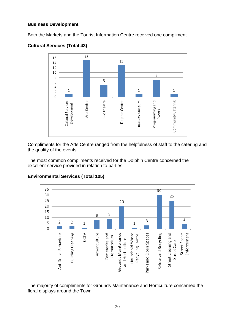#### **Business Development**

Both the Markets and the Tourist Information Centre received one compliment.



# **Cultural Services (Total 43)**

Compliments for the Arts Centre ranged from the helpfulness of staff to the catering and the quality of the events.

The most common compliments received for the Dolphin Centre concerned the excellent service provided in relation to parties.



#### **Environmental Services (Total 105)**

The majority of compliments for Grounds Maintenance and Horticulture concerned the floral displays around the Town.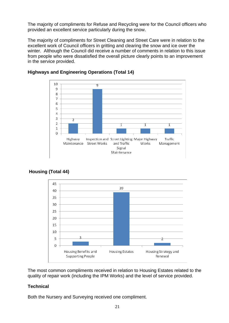The majority of compliments for Refuse and Recycling were for the Council officers who provided an excellent service particularly during the snow.

The majority of compliments for Street Cleaning and Street Care were in relation to the excellent work of Council officers in gritting and clearing the snow and ice over the winter. Although the Council did receive a number of comments in relation to this issue from people who were dissatisfied the overall picture clearly points to an improvement in the service provided.



#### **Highways and Engineering Operations (Total 14)**



# **Housing (Total 44)**

The most common compliments received in relation to Housing Estates related to the quality of repair work (including the IPM Works) and the level of service provided.

#### **Technical**

Both the Nursery and Surveying received one compliment.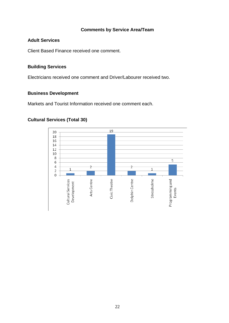#### **Comments by Service Area/Team**

#### **Adult Services**

Client Based Finance received one comment.

## **Building Services**

Electricians received one comment and Driver/Labourer received two.

#### **Business Development**

Markets and Tourist Information received one comment each.

#### 19 20 18 16 14 12 10 8 5 6  $\overline{4}$  $\overline{2}$  $\overline{c}$  $1\,$  $\mathbf 1$  $\overline{2}$  $\overline{0}$ Stressholme Programming and<br>Events Cultural Services Civic Theatre Dolphin Centre Arts Centre Development

#### **Cultural Services (Total 30)**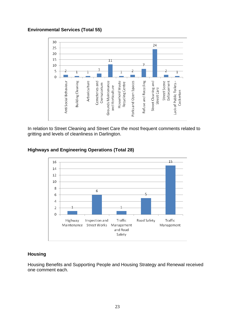#### **Environmental Services (Total 55)**



In relation to Street Cleaning and Street Care the most frequent comments related to gritting and levels of cleanliness in Darlington.

## **Highways and Engineering Operations (Total 28)**



#### **Housing**

Housing Benefits and Supporting People and Housing Strategy and Renewal received one comment each.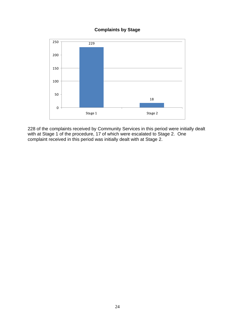#### **Complaints by Stage**



228 of the complaints received by Community Services in this period were initially dealt with at Stage 1 of the procedure, 17 of which were escalated to Stage 2. One complaint received in this period was initially dealt with at Stage 2.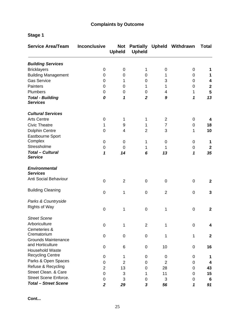# **Complaints by Outcome**

# **Stage 1**

| <b>Service Area/Team</b>                   | <b>Inconclusive</b>     | <b>Not</b><br><b>Upheld</b> | <b>Upheld</b>  |                | Partially Upheld Withdrawn | <b>Total</b>     |
|--------------------------------------------|-------------------------|-----------------------------|----------------|----------------|----------------------------|------------------|
| <b>Building Services</b>                   |                         |                             |                |                |                            |                  |
| <b>Bricklayers</b>                         | 0                       | $\boldsymbol{0}$            | 1              | 0              | 0                          | 1                |
| <b>Building Management</b>                 | 0                       | 0                           | 0              | 1              | 0                          | 1                |
| <b>Gas Service</b>                         | 0                       | 1                           | 0              | 3              | 0                          | 4                |
| <b>Painters</b>                            | 0                       | 0                           | 1              | 1              | 0                          | $\boldsymbol{2}$ |
| Plumbers                                   | 0                       | 0                           | 0              | 4              | 1                          | 5                |
| <b>Total - Building</b><br><b>Services</b> | 0                       | 1                           | $\overline{2}$ | 9              | 1                          | 13               |
| <b>Cultural Services</b>                   |                         |                             |                |                |                            |                  |
| <b>Arts Centre</b>                         | 0                       | 1                           | 1              | $\overline{2}$ | 0                          | 4                |
| <b>Civic Theatre</b>                       | 1                       | 9                           | 1              | 7              | 0                          | 18               |
| <b>Dolphin Centre</b>                      | 0                       | 4                           | 2              | 3              | 1                          | 10               |
| Eastbourne Sport                           |                         |                             |                |                |                            |                  |
| Complex                                    | 0                       | 0                           | 1              | 0              | 0                          | 1                |
| Stressholme                                | 0                       | $\mathbf 0$                 | 1              | 1              | 0                          | $\boldsymbol{2}$ |
| <b>Total - Cultural</b><br><b>Service</b>  | 1                       | 14                          | 6              | 13             | 1                          | 35               |
| <b>Environmental</b><br><b>Services</b>    |                         |                             |                |                |                            |                  |
| Anti Social Behaviour                      | $\mathbf 0$             | $\overline{2}$              | 0              | 0              | 0                          | $\mathbf{2}$     |
| <b>Building Cleaning</b>                   | 0                       | 1                           | 0              | $\overline{2}$ | 0                          | 3                |
| Parks & Countryside                        |                         |                             |                |                |                            |                  |
| <b>Rights of Way</b>                       | 0                       | 1                           | 0              | 1              | 0                          | $\boldsymbol{2}$ |
| <b>Street Scene</b>                        |                         |                             |                |                |                            |                  |
| Arboriculture                              | $\pmb{0}$               | 1                           | $\overline{2}$ | 1              | 0                          | 4                |
| Cemeteries &                               |                         |                             |                |                |                            |                  |
| Crematorium                                | 0                       | $\mathbf 0$                 | 0              | 1              | 1                          | $\boldsymbol{2}$ |
| <b>Grounds Maintenance</b>                 |                         |                             |                |                |                            |                  |
| and Horticulture                           | 0                       | 6                           | 0              | 10             | 0                          | 16               |
| <b>Household Waste</b>                     |                         |                             |                |                |                            |                  |
| <b>Recycling Centre</b>                    | 0                       | 1                           | 0              | 0              | 0                          | 1                |
| Parks & Open Spaces                        | 0                       | $\overline{2}$              | 0              | $\overline{2}$ | 0                          | 4                |
| Refuse & Recycling                         | $\overline{2}$          | 13                          | 0              | 28             | 0                          | 43               |
| Street Clean. & Care                       | 0                       | 3                           | 1              | 11             | 0                          | 15               |
| <b>Street Scene Enforce.</b>               | 0                       | 3                           | 0              | 3              | 0                          | 6                |
| <b>Total - Street Scene</b>                | $\overline{\mathbf{2}}$ | 29                          | 3              | 56             | 1                          | 91               |

**Cont...**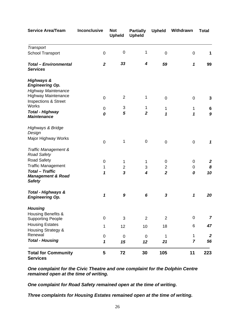| <b>Service Area/Team</b>                                                                    | <b>Inconclusive</b> | <b>Not</b><br><b>Upheld</b> | <b>Partially</b><br><b>Upheld</b> | <b>Upheld</b>           | Withdrawn      | <b>Total</b>               |
|---------------------------------------------------------------------------------------------|---------------------|-----------------------------|-----------------------------------|-------------------------|----------------|----------------------------|
| Transport                                                                                   |                     |                             |                                   |                         |                |                            |
| <b>School Transport</b>                                                                     | $\mathbf 0$         | 0                           | 1                                 | $\mathbf 0$             | $\mathbf 0$    | 1                          |
| <b>Total - Environmental</b><br><b>Services</b>                                             | $\boldsymbol{2}$    | 33                          | 4                                 | 59                      | 1              | 99                         |
| <b>Highways &amp;</b><br><b>Engineering Op.</b>                                             |                     |                             |                                   |                         |                |                            |
| <b>Highway Maintenance</b><br><b>Highway Maintenance</b><br><b>Inspections &amp; Street</b> | $\pmb{0}$           | $\overline{2}$              | 1                                 | $\mathbf 0$             | $\pmb{0}$      | 3                          |
| <b>Works</b><br><b>Total - Highway</b><br><b>Maintenance</b>                                | 0<br>0              | 3<br>5                      | 1<br>$\boldsymbol{2}$             | 1<br>1                  | 1<br>1         | 6<br>$\boldsymbol{9}$      |
| Highways & Bridge<br>Design                                                                 |                     |                             |                                   |                         |                |                            |
| Major Highway Works                                                                         | $\mathbf 0$         | 1                           | $\pmb{0}$                         | $\boldsymbol{0}$        | $\mathbf 0$    | $\boldsymbol{\mathcal{L}}$ |
| Traffic Management &<br><b>Road Safety</b>                                                  |                     |                             |                                   |                         |                |                            |
| <b>Road Safety</b>                                                                          | 0                   | 1                           | 1                                 | 0                       | 0              | 2                          |
| <b>Traffic Management</b>                                                                   | 1                   | $\overline{c}$              | 3                                 | $\overline{\mathbf{c}}$ | 0              | 8                          |
| <b>Total - Traffic</b><br><b>Management &amp; Road</b><br><b>Safety</b>                     | 1                   | $\overline{\mathbf{3}}$     | 4                                 | $\overline{\mathbf{2}}$ | 0              | 10                         |
| Total - Highways &<br><b>Engineering Op.</b>                                                | 1                   | 9                           | 6                                 | 3                       | 1              | 20                         |
| <b>Housing</b>                                                                              |                     |                             |                                   |                         |                |                            |
| <b>Housing Benefits &amp;</b><br><b>Supporting People</b>                                   | 0                   | 3                           | $\overline{2}$                    | $\overline{2}$          | 0              | $\overline{7}$             |
| <b>Housing Estates</b>                                                                      |                     |                             |                                   |                         |                |                            |
| Housing Strategy &                                                                          | 1                   | 12                          | 10                                | 18                      | 6              | 47                         |
| Renewal                                                                                     | 0                   | $\boldsymbol{0}$            | $\boldsymbol{0}$                  | 1                       | 1              | $\boldsymbol{2}$           |
| <b>Total - Housing</b>                                                                      | 1                   | 15                          | 12                                | 21                      | $\overline{7}$ | 56                         |
| <b>Total for Community</b><br><b>Services</b>                                               | 5                   | 72                          | 30                                | 105                     | 11             | 223                        |

*One complaint for the Civic Theatre and one complaint for the Dolphin Centre remained open at the time of writing.* 

*One complaint for Road Safety remained open at the time of writing.* 

*Three complaints for Housing Estates remained open at the time of writing.*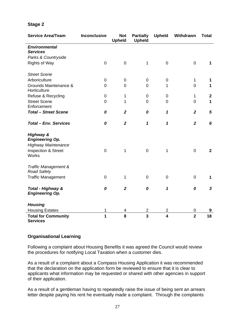#### **Stage 2**

| <b>Service Area/Team</b>                                                                                                       | <b>Inconclusive</b>     | <b>Not</b><br><b>Upheld</b> | <b>Partially</b><br><b>Upheld</b> | <b>Upheld</b>           | Withdrawn      | <b>Total</b>   |
|--------------------------------------------------------------------------------------------------------------------------------|-------------------------|-----------------------------|-----------------------------------|-------------------------|----------------|----------------|
| <b>Environmental</b><br><b>Services</b>                                                                                        |                         |                             |                                   |                         |                |                |
| Parks & Countryside                                                                                                            |                         |                             |                                   |                         |                |                |
| <b>Rights of Way</b>                                                                                                           | $\mathbf 0$             | $\mathbf 0$                 | 1                                 | $\mathbf 0$             | $\overline{0}$ | 1              |
| <b>Street Scene</b>                                                                                                            |                         |                             |                                   |                         |                |                |
| Arboriculture                                                                                                                  | $\mathbf 0$             | $\mathbf 0$                 | $\boldsymbol{0}$                  | 0                       | $\mathbf{1}$   | 1              |
| Grounds Maintenance &<br>Horticulture                                                                                          | $\overline{0}$          | $\overline{0}$              | $\overline{0}$                    | 1                       | $\overline{0}$ | 1              |
| Refuse & Recycling                                                                                                             | $\overline{0}$          | 1                           | $\overline{0}$                    | $\pmb{0}$               | $\mathbf{1}$   | $\mathbf{2}$   |
| <b>Street Scene</b><br>Enforcement                                                                                             | $\overline{0}$          | 1                           | $\overline{0}$                    | $\overline{0}$          | $\mathbf 0$    | $\mathbf{1}$   |
| <b>Total - Street Scene</b>                                                                                                    | 0                       | $\overline{2}$              | 0                                 | 1                       | $\overline{2}$ | $\mathbf{5}$   |
| <b>Total - Env. Services</b>                                                                                                   | 0                       | $\overline{2}$              | $\boldsymbol{\mathcal{L}}$        | 1                       | $\overline{2}$ | 6              |
| <b>Highway &amp;</b><br><b>Engineering Op.</b><br><b>Highway Maintenance</b><br><b>Inspection &amp; Street</b><br><b>Works</b> | $\mathbf 0$             | $\mathbf{1}$                | $\mathbf 0$                       | 1                       | $\mathbf 0$    | $\overline{2}$ |
| Traffic Management &<br><b>Road Safety</b>                                                                                     |                         |                             |                                   |                         |                |                |
| <b>Traffic Management</b>                                                                                                      | $\mathbf 0$             | $\mathbf{1}$                | $\overline{0}$                    | $\mathbf 0$             | $\mathbf 0$    | $\mathbf 1$    |
| Total - Highway &<br><b>Engineering Op.</b>                                                                                    | 0                       | $\overline{2}$              | 0                                 | 1                       | 0              | $\mathbf{3}$   |
| <b>Housing</b>                                                                                                                 |                         |                             |                                   |                         |                |                |
| <b>Housing Estates</b>                                                                                                         | 1                       | 4                           | $\overline{\mathbf{c}}$           | $\overline{c}$          | 0              | 9              |
| <b>Total for Community</b><br><b>Services</b>                                                                                  | $\overline{\mathbf{1}}$ | 8                           | $\overline{3}$                    | $\overline{\mathbf{4}}$ | $\overline{2}$ | 18             |

#### **Organisational Learning**

Following a complaint about Housing Benefits it was agreed the Council would review the procedures for notifying Local Taxation when a customer dies.

As a result of a complaint about a Compass Housing Application it was recommended that the declaration on the application form be reviewed to ensure that it is clear to applicants what information may be requested or shared with other agencies in support of their application.

As a result of a gentleman having to repeatedly raise the issue of being sent an arrears letter despite paying his rent he eventually made a complaint. Through the complaints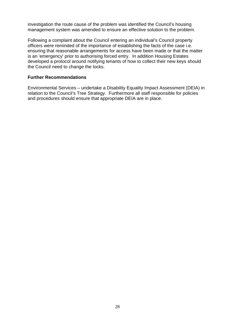investigation the route cause of the problem was identified the Council's housing management system was amended to ensure an effective solution to the problem.

Following a complaint about the Council entering an individual's Council property officers were reminded of the importance of establishing the facts of the case i.e. ensuring that reasonable arrangements for access have been made or that the matter is an 'emergency' prior to authorising forced entry. In addition Housing Estates developed a protocol around notifying tenants of how to collect their new keys should the Council need to change the locks.

#### **Further Recommendations**

Environmental Services – undertake a Disability Equality Impact Assessment (DEIA) in relation to the Council's Tree Strategy. Furthermore all staff responsible for policies and procedures should ensure that appropriate DEIA are in place.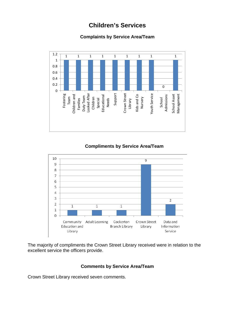# **Children's Services**

# **Complaints by Service Area/Team**



# **Compliments by Service Area/Team**



The majority of compliments the Crown Street Library received were in relation to the excellent service the officers provide.

#### **Comments by Service Area/Team**

Crown Street Library received seven comments.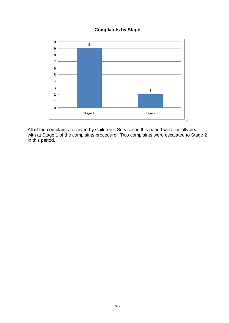#### **Complaints by Stage**



All of the complaints received by Children's Services in this period were initially dealt with at Stage 1 of the complaints procedure. Two complaints were escalated to Stage 2 in this period.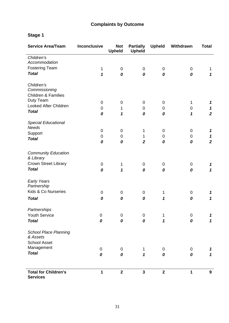# **Complaints by Outcome**

# **Stage 1**

| <b>Service Area/Team</b>                       | <b>Inconclusive</b> | <b>Not</b><br><b>Upheld</b> | <b>Partially</b><br><b>Upheld</b> | <b>Upheld</b> | Withdrawn        | <b>Total</b>               |
|------------------------------------------------|---------------------|-----------------------------|-----------------------------------|---------------|------------------|----------------------------|
| Children's                                     |                     |                             |                                   |               |                  |                            |
| Accommodation                                  |                     |                             |                                   |               |                  |                            |
| <b>Fostering Team</b>                          | $\mathbf 1$         | $\mathbf 0$                 | $\mathbf 0$                       | $\pmb{0}$     | $\mathbf 0$      | 1                          |
| <b>Total</b>                                   | 1                   | 0                           | 0                                 | 0             | 0                | $\boldsymbol{\mathcal{L}}$ |
| Children's                                     |                     |                             |                                   |               |                  |                            |
| Commissioning                                  |                     |                             |                                   |               |                  |                            |
| <b>Children &amp; Families</b>                 |                     |                             |                                   |               |                  |                            |
| Duty Team                                      | $\pmb{0}$           | $\boldsymbol{0}$            | $\boldsymbol{0}$                  | $\pmb{0}$     | 1                | 1                          |
| Looked After Children                          | $\mathbf 0$         | 1                           | $\boldsymbol{0}$                  | $\pmb{0}$     | $\pmb{0}$        | $\boldsymbol{\mathcal{L}}$ |
| <b>Total</b>                                   | 0                   | 1                           | 0                                 | 0             | 1                | $\overline{2}$             |
| <b>Special Educational</b>                     |                     |                             |                                   |               |                  |                            |
| <b>Needs</b>                                   | $\boldsymbol{0}$    | $\mathbf 0$                 | 1                                 | 0             | $\mathbf 0$      | 1                          |
| Support                                        | 0                   | $\mathbf 0$                 | 1                                 | $\pmb{0}$     | $\boldsymbol{0}$ | $\boldsymbol{\mathcal{L}}$ |
| <b>Total</b>                                   | 0                   | 0                           | $\overline{2}$                    | 0             | 0                | $\overline{2}$             |
| <b>Community Education</b>                     |                     |                             |                                   |               |                  |                            |
| & Library                                      |                     |                             |                                   |               |                  |                            |
| Crown Street Library                           | $\pmb{0}$           | 1                           | $\pmb{0}$                         | $\pmb{0}$     | $\mathbf 0$      | 1                          |
| <b>Total</b>                                   | 0                   | 1                           | 0                                 | 0             | 0                | $\boldsymbol{\mathcal{L}}$ |
| <b>Early Years</b>                             |                     |                             |                                   |               |                  |                            |
| Partnership                                    |                     |                             |                                   |               |                  |                            |
| Kids & Co Nurseries                            | $\pmb{0}$           | $\mathbf 0$                 | 0                                 | 1             | $\mathbf 0$      | 1                          |
| <b>Total</b>                                   | 0                   | 0                           | 0                                 | 1             | 0                | 1                          |
| Partnerships                                   |                     |                             |                                   |               |                  |                            |
| Youth Service                                  | $\pmb{0}$           | 0                           | $\overline{0}$                    | $\mathbf 1$   | 0                | 7                          |
| <b>Total</b>                                   | 0                   | 0                           | 0                                 | 1             | 0                | 1                          |
| <b>School Place Planning</b>                   |                     |                             |                                   |               |                  |                            |
| & Assets                                       |                     |                             |                                   |               |                  |                            |
| <b>School Asset</b>                            |                     |                             |                                   |               |                  |                            |
| Management                                     | 0                   | 0                           | 1                                 | 0             | $\mathbf 0$      | 1                          |
| <b>Total</b>                                   | 0                   | 0                           | $\mathbf{1}$                      | 0             | 0                | 1                          |
| <b>Total for Children's</b><br><b>Services</b> | 1                   | $\overline{\mathbf{2}}$     | $\mathbf{3}$                      | $\mathbf{2}$  | 1                | 9                          |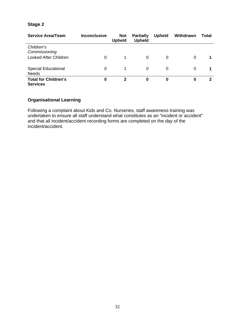# **Stage 2**

| <b>Service Area/Team</b>                       | <b>Inconclusive</b> | <b>Not</b><br><b>Upheld</b> | <b>Partially</b><br><b>Upheld</b> | <b>Upheld</b> | Withdrawn | Total |
|------------------------------------------------|---------------------|-----------------------------|-----------------------------------|---------------|-----------|-------|
| Children's<br>Commissioning                    |                     |                             |                                   |               |           |       |
| <b>Looked After Children</b>                   | 0                   |                             | 0                                 | 0             | 0         |       |
| <b>Special Educational</b><br><b>Needs</b>     | 0                   |                             | 0                                 | 0             | 0         |       |
| <b>Total for Children's</b><br><b>Services</b> | 0                   | $\mathbf{2}$                | 0                                 | 0             | 0         | 2     |

# **Organisational Learning**

Following a complaint about Kids and Co. Nurseries, staff awareness training was undertaken to ensure all staff understand what constitutes as an "incident or accident" and that all incident/accident recording forms are completed on the day of the incident/accident.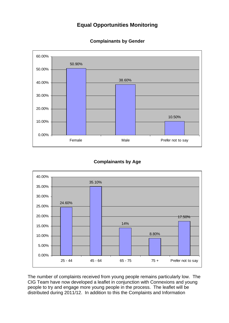# **Equal Opportunities Monitoring**



#### **Complainants by Gender**

#### **Complainants by Age**



The number of complaints received from young people remains particularly low. The CIG Team have now developed a leaflet in conjunction with Connexions and young people to try and engage more young people in the process. The leaflet will be distributed during 2011/12. In addition to this the Complaints and Information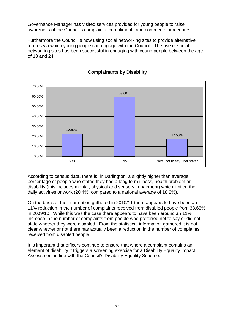Governance Manager has visited services provided for young people to raise awareness of the Council's complaints, compliments and comments procedures.

Furthermore the Council is now using social networking sites to provide alternative forums via which young people can engage with the Council. The use of social networking sites has been successful in engaging with young people between the age of 13 and 24.



# **Complainants by Disability**

According to census data, there is, in Darlington, a slightly higher than average percentage of people who stated they had a long term illness, health problem or disability (this includes mental, physical and sensory impairment) which limited their daily activities or work (20.4%, compared to a national average of 18.2%).

On the basis of the information gathered in 2010/11 there appears to have been an 11% reduction in the number of complaints received from disabled people from 33.65% in 2009/10. While this was the case there appears to have been around an 11% increase in the number of complaints from people who preferred not to say or did not state whether they were disabled. From the statistical information gathered it is not clear whether or not there has actually been a reduction in the number of complaints received from disabled people.

It is important that officers continue to ensure that where a complaint contains an element of disability it triggers a screening exercise for a Disability Equality Impact Assessment in line with the Council's Disability Equality Scheme.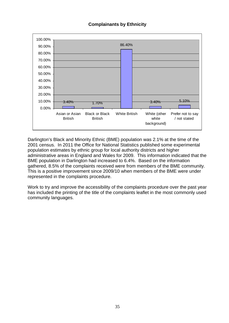#### **Complainants by Ethnicity**



Darlington's Black and Minority Ethnic (BME) population was 2.1% at the time of the 2001 census. In 2011 the Office for National Statistics published some experimental population estimates by ethnic group for local authority districts and higher administrative areas in England and Wales for 2009. This information indicated that the BME population in Darlington had increased to 6.4%. Based on the information gathered, 8.5% of the complaints received were from members of the BME community. This is a positive improvement since 2009/10 when members of the BME were under represented in the complaints procedure.

Work to try and improve the accessibility of the complaints procedure over the past year has included the printing of the title of the complaints leaflet in the most commonly used community languages.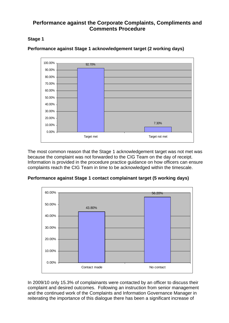# **Performance against the Corporate Complaints, Compliments and Comments Procedure**

# **Stage 1**



**Performance against Stage 1 acknowledgement target (2 working days)** 

The most common reason that the Stage 1 acknowledgement target was not met was because the complaint was not forwarded to the CIG Team on the day of receipt. Information is provided in the procedure practice guidance on how officers can ensure complaints reach the CIG Team in time to be acknowledged within the timescale.



**Performance against Stage 1 contact complainant target (5 working days)** 

In 2009/10 only 15.3% of complainants were contacted by an officer to discuss their complaint and desired outcomes. Following an instruction from senior management and the continued work of the Complaints and Information Governance Manager in reiterating the importance of this dialogue there has been a significant increase of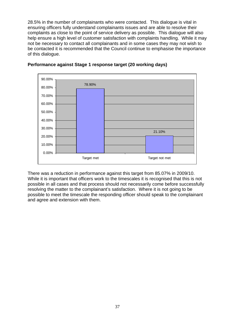28.5% in the number of complainants who were contacted. This dialogue is vital in ensuring officers fully understand complainants issues and are able to resolve their complaints as close to the point of service delivery as possible. This dialogue will also help ensure a high level of customer satisfaction with complaints handling. While it may not be necessary to contact all complainants and in some cases they may not wish to be contacted it is recommended that the Council continue to emphasise the importance of this dialogue.



#### **Performance against Stage 1 response target (20 working days)**

There was a reduction in performance against this target from 85.07% in 2009/10. While it is important that officers work to the timescales it is recognised that this is not possible in all cases and that process should not necessarily come before successfully resolving the matter to the complainant's satisfaction. Where it is not going to be possible to meet the timescale the responding officer should speak to the complainant and agree and extension with them.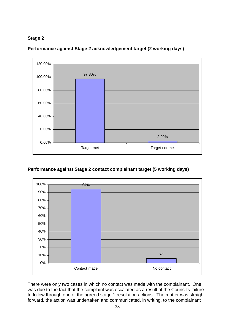



**Performance against Stage 2 acknowledgement target (2 working days)** 

# **Performance against Stage 2 contact complainant target (5 working days)**



There were only two cases in which no contact was made with the complainant. One was due to the fact that the complaint was escalated as a result of the Council's failure to follow through one of the agreed stage 1 resolution actions. The matter was straight forward, the action was undertaken and communicated, in writing, to the complainant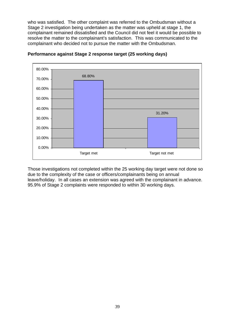who was satisfied. The other complaint was referred to the Ombudsman without a Stage 2 investigation being undertaken as the matter was upheld at stage 1, the complainant remained dissatisfied and the Council did not feel it would be possible to resolve the matter to the complainant's satisfaction. This was communicated to the complainant who decided not to pursue the matter with the Ombudsman.



#### **Performance against Stage 2 response target (25 working days)**

Those investigations not completed within the 25 working day target were not done so due to the complexity of the case or officers/complainants being on annual leave/holiday. In all cases an extension was agreed with the complainant in advance. 95.9% of Stage 2 complaints were responded to within 30 working days.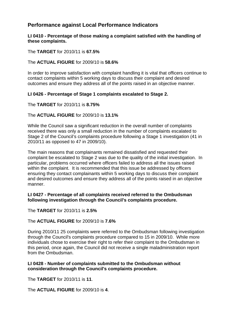# **Performance against Local Performance Indicators**

**LI 0410 - Percentage of those making a complaint satisfied with the handling of these complaints.** 

The **TARGET** for 2010/11 is **67.5%**

The **ACTUAL FIGURE** for 2009/10 is **58.6%** 

In order to improve satisfaction with complaint handling it is vital that officers continue to contact complaints within 5 working days to discuss their complaint and desired outcomes and ensure they address all of the points raised in an objective manner.

#### **LI 0426 - Percentage of Stage 1 complaints escalated to Stage 2.**

The **TARGET** for 2010/11 is **8.75%** 

#### The **ACTUAL FIGURE** for 2009/10 is **13.1%**

While the Council saw a significant reduction in the overall number of complaints received there was only a small reduction in the number of complaints escalated to Stage 2 of the Council's complaints procedure following a Stage 1 investigation (41 in 2010/11 as opposed to 47 in 2009/10).

The main reasons that complainants remained dissatisfied and requested their complaint be escalated to Stage 2 was due to the quality of the initial investigation. In particular, problems occurred where officers failed to address all the issues raised within the complaint. It is recommended that this issue be addressed by officers ensuring they contact complainants within 5 working days to discuss their complaint and desired outcomes and ensure they address all of the points raised in an objective manner.

#### **LI 0427 - Percentage of all complaints received referred to the Ombudsman following investigation through the Council's complaints procedure.**

The **TARGET** for 2010/11 is **2.5%**

The **ACTUAL FIGURE** for 2009/10 is **7.6%**

During 2010/11 25 complaints were referred to the Ombudsman following investigation through the Council's complaints procedure compared to 15 in 2009/10. While more individuals chose to exercise their right to refer their complaint to the Ombudsman in this period, once again, the Council did not receive a single maladministration report from the Ombudsman.

#### **LI 0428 - Number of complaints submitted to the Ombudsman without consideration through the Council's complaints procedure.**

The **TARGET** for 2010/11 is **11**.

The **ACTUAL FIGURE** for 2009/10 is **4**.